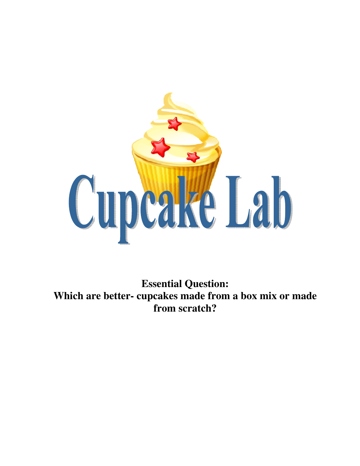

**Essential Question: Which are better- cupcakes made from a box mix or made from scratch?**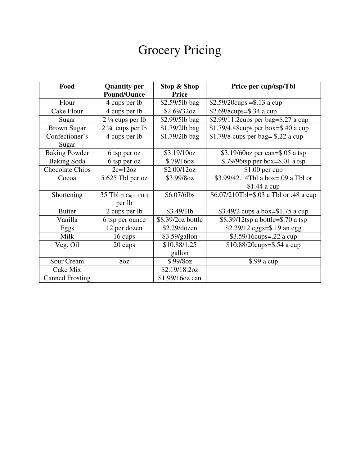# **Grocery Pricing**

| Food                   | <b>Quantity per</b>        | <b>Stop &amp; Shop</b> | Price per cup/tsp/Tbl                  |  |
|------------------------|----------------------------|------------------------|----------------------------------------|--|
|                        | <b>Pound/Ounce</b>         | <b>Price</b>           |                                        |  |
| Flour                  | 4 cups per lb              | \$2.59/5lb bag         | $$2.59/20cups = $.13$ a cup            |  |
| Cake Flour             | 4 cups per lb              | \$2.69/32oz            | $$2.69/8cups = $.34$ a cup             |  |
| Sugar                  | $2\frac{1}{4}$ cups per lb | \$2.99/5lb bag         | \$2.99/11.2cups per bag=\$.27 a cup    |  |
| <b>Brown Sugar</b>     | $2\frac{1}{4}$ cups per lb | \$1.79/2lb bag         | $$1.79/4.48$ cups per box=\$.40 a cup  |  |
| Confectioner's         | 4 cups per lb              | \$1.79/2lb bag         | \$1.79/8 cups per bag = $$.22$ a cup   |  |
| Sugar                  |                            |                        |                                        |  |
| <b>Baking Powder</b>   | 6 tsp per oz               | \$3.19/10oz            | \$3.19/60 $oz$ per can=\$.05 a tsp     |  |
| <b>Baking Soda</b>     | 6 tsp per oz               | \$.79/16oz             | $$.79/96$ tsp per box= $$.01$ a tsp    |  |
| <b>Chocolate Chips</b> | $2c=12oz$                  | \$2.00/12oz            | $$1.00$ per cup                        |  |
| Cocoa                  | 5.625 Tbl per oz           | \$3.99/8oz             | \$3.99/42.14Tbl a box=.09 a Tbl or     |  |
|                        |                            |                        | $$1.44$ a cup                          |  |
| Shortening             | 35 Tbl (2 Cups 3 Tbl)      | \$6.07/6lbs            | \$6.07/210Tbl=\$.03 a Tbl or .48 a cup |  |
|                        | per lb                     |                        |                                        |  |
| <b>Butter</b>          | 2 cups per lb              | \$3.49/11b             | \$3.49/2 cups a box= $$1.75$ a cup     |  |
| Vanilla                | 6 tsp per ounce            | \$8.39/2oz bottle      | \$8.39/12tsp a bottle=\$.70 a tsp      |  |
| Eggs                   | 12 per dozen               | \$2.29/dozen           | \$2.29/12 eggs=\$.19 an egg            |  |
| Milk                   | 16 cups                    | \$3.59/gallon          | \$3.59/16cups=.22 a cup                |  |
| Veg. Oil               | 20 cups                    | \$10.88/1.25           | $$10.88/20cups = $.54$ a cup           |  |
|                        |                            | gallon                 |                                        |  |
| Sour Cream             | 8oz                        | \$.99/8oz              | $$.99$ a cup                           |  |
| Cake Mix               |                            | \$2.19/18.2oz          |                                        |  |
| <b>Canned Frosting</b> |                            | \$1.99/16oz can        |                                        |  |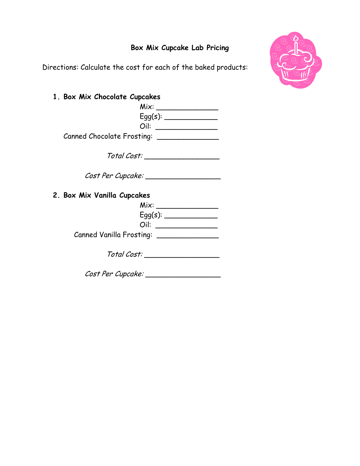### Box Mix Cupcake Lab Pricing

Directions: Calculate the cost for each of the baked products:



1. Box Mix Chocolate Cupcakes

|                              | Mix:    |
|------------------------------|---------|
|                              | Eqq(s): |
| Oil:                         |         |
| Canned Chocolate Frosting: _ |         |

Total Cost: \_\_\_\_\_\_\_\_\_\_\_\_\_\_\_\_\_

Cost Per Cupcake: \_\_\_\_\_\_\_\_\_\_\_\_\_\_\_\_\_

2. Box Mix Vanilla Cupcakes

| Eqq(s):                       |
|-------------------------------|
|                               |
|                               |
| Canned Vanilla Frosting: ____ |
|                               |

Total Cost: \_\_\_\_\_\_\_\_\_\_\_\_\_\_\_\_\_

Cost Per Cupcake: \_\_\_\_\_\_\_\_\_\_\_\_\_\_\_\_\_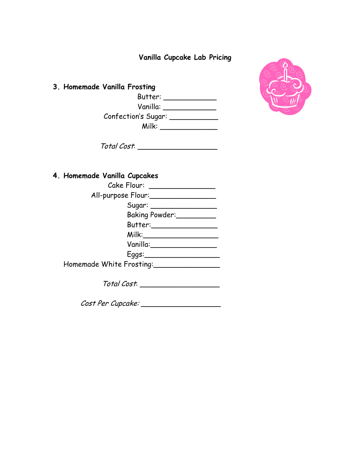Vanilla Cupcake Lab Pricing

3. Homemade Vanilla Frosting Butter: \_\_\_\_\_\_\_\_\_\_\_\_ Vanilla: \_\_\_\_\_\_\_\_\_\_\_\_ Confection's Sugar: \_\_\_\_\_\_\_\_\_\_\_ Milk: \_\_\_\_\_\_\_\_\_\_\_\_\_



Total Cost: \_\_\_\_\_\_\_\_\_\_\_\_\_\_\_\_\_\_

### 4. Homemade Vanilla Cupcakes

| Cake Flour: Cake Flour   |
|--------------------------|
| All-purpose Flour:       |
|                          |
| Baking Powder:           |
| Butter:_____             |
| $M$ ilk: $\qquad \qquad$ |
| Vanilla:                 |
| $E$ ggs: $\_\_$          |
| Homemade White Frosting: |

Total Cost: \_\_\_\_\_\_\_\_\_\_\_\_\_\_\_\_\_\_

Cost Per Cupcake: \_\_\_\_\_\_\_\_\_\_\_\_\_\_\_\_\_\_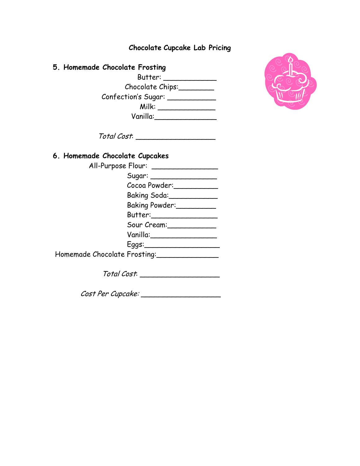| <b>Chocolate Cupcake Lab Pricing</b> |  |  |  |
|--------------------------------------|--|--|--|
|--------------------------------------|--|--|--|

#### 5. Homemade Chocolate Frosting

 Butter: \_\_\_\_\_\_\_\_\_\_\_\_ Chocolate Chips:\_\_\_\_\_\_\_\_ Confection's Sugar: \_\_\_\_\_\_\_\_\_\_\_\_\_ Milk: \_\_\_\_\_\_\_\_\_\_\_\_\_ Vanilla:\_\_\_\_\_\_\_\_\_\_\_\_\_\_



Total Cost: \_\_\_\_\_\_\_\_\_\_\_\_\_\_\_\_\_\_

#### 6. Homemade Chocolate Cupcakes

|                              | All-Purpose Flour: __________________ |
|------------------------------|---------------------------------------|
|                              | Sugar: ____________________           |
|                              | Cocoa Powder:                         |
|                              | Baking Soda: ______________           |
|                              | Baking Powder:                        |
|                              | Butter:__________________             |
|                              | Sour Cream:                           |
|                              | Vanilla:________________              |
|                              | $E$ ggs: $\qquad \qquad$              |
| Homemade Chocolate Frosting: |                                       |
|                              |                                       |

Total Cost: \_\_\_\_\_\_\_\_\_\_\_\_\_\_\_\_\_\_

Cost Per Cupcake: \_\_\_\_\_\_\_\_\_\_\_\_\_\_\_\_\_\_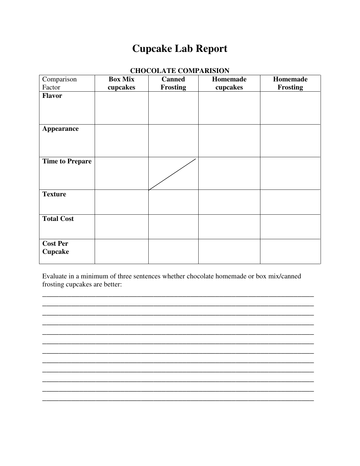# **Cupcake Lab Report**

| Comparison                        | <b>Box Mix</b> | <b>Canned</b>   | Homemade | Homemade        |
|-----------------------------------|----------------|-----------------|----------|-----------------|
| Factor                            | cupcakes       | <b>Frosting</b> | cupcakes | <b>Frosting</b> |
| <b>Flavor</b>                     |                |                 |          |                 |
| <b>Appearance</b>                 |                |                 |          |                 |
| <b>Time to Prepare</b>            |                |                 |          |                 |
| <b>Texture</b>                    |                |                 |          |                 |
| <b>Total Cost</b>                 |                |                 |          |                 |
| <b>Cost Per</b><br><b>Cupcake</b> |                |                 |          |                 |

#### CHOCOLATE COMPARISION

Evaluate in a minimum of three sentences whether chocolate homemade or box mix/canned frosting cupcakes are better: